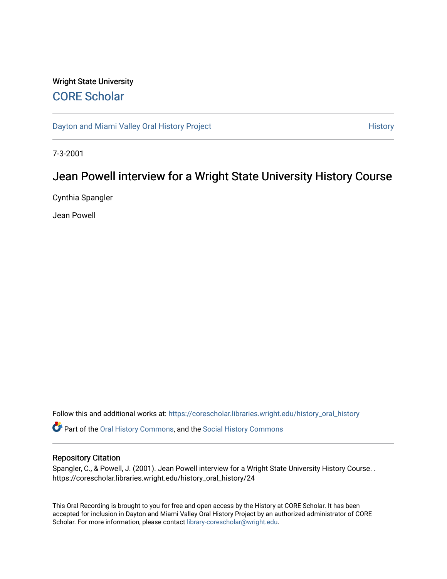# Wright State University [CORE Scholar](https://corescholar.libraries.wright.edu/)

[Dayton and Miami Valley Oral History Project](https://corescholar.libraries.wright.edu/history_oral_history) **History** History

7-3-2001

# Jean Powell interview for a Wright State University History Course

Cynthia Spangler

Jean Powell

Follow this and additional works at: [https://corescholar.libraries.wright.edu/history\\_oral\\_history](https://corescholar.libraries.wright.edu/history_oral_history?utm_source=corescholar.libraries.wright.edu%2Fhistory_oral_history%2F24&utm_medium=PDF&utm_campaign=PDFCoverPages) 

Part of the [Oral History Commons](http://network.bepress.com/hgg/discipline/1195?utm_source=corescholar.libraries.wright.edu%2Fhistory_oral_history%2F24&utm_medium=PDF&utm_campaign=PDFCoverPages), and the [Social History Commons](http://network.bepress.com/hgg/discipline/506?utm_source=corescholar.libraries.wright.edu%2Fhistory_oral_history%2F24&utm_medium=PDF&utm_campaign=PDFCoverPages)

#### Repository Citation

Spangler, C., & Powell, J. (2001). Jean Powell interview for a Wright State University History Course. . https://corescholar.libraries.wright.edu/history\_oral\_history/24

This Oral Recording is brought to you for free and open access by the History at CORE Scholar. It has been accepted for inclusion in Dayton and Miami Valley Oral History Project by an authorized administrator of CORE Scholar. For more information, please contact [library-corescholar@wright.edu](mailto:library-corescholar@wright.edu).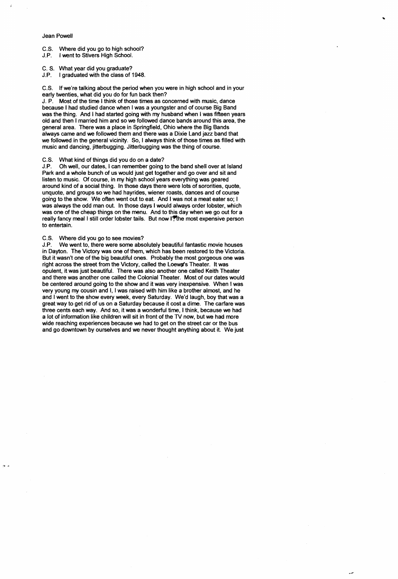### Jean Powell

ĩ

- C.S. Where did you go to high school?
- J.P. I went to Stivers High School.
- C. S. What year did you graduate?
- J.P. I graduated with the class of 1948.

C.S. If we're talking about the period when you were in high school and in your early twenties, what did you do for fun back then?

J. P. Most of the time I think of those times as concerned with music, dance because I had studied dance when I was a youngster and of course Big Band was the thing. And I had started going with my husband when I was fifteen years old and then I married him and so we followed dance bands around this area, the general area. There was a place in Springfield, Ohio where the Big Bands always came and we followed them and there was a Dixie Land jazz band that we followed in the general vicinity. So, I always think of those times as filled with music and dancing, jitterbugging. Jitterbugging was the thing of course.

C.S. What kind of things did you do on a date?

J.P. Oh well, our dates, I can remember going to the band shell over at Island Park and a whole bunch of us would just get together and go over and sit and listen to music. Of course, in my high school years everything was geared around kind of a social thing. In those days there were lots of sororities, quote, unquote, and groups so we had hayrides, wiener roasts, dances and of course going to the show. We often went out to eat. And I was not a meat eater so; I was always the odd man out. In those days I would always order lobster, which was one of the cheap things on the menu. And to this day when we go out for a really fancy meal I still order lobster tails. But now I'lthe most expensive person to entertain.

C.S. Where did you go to see movies?

J.P. We went to, there were some absolutely beautiful fantastic movie houses in Dayton. The Victory was one of them, which has been restored to the Victoria. But it wasn't one of the big beautiful ones. Probably the most gorgeous one was right across the street from the Victory, called the Loews's Theater. It was opulent, it was just beautiful. There was also another one called Keith Theater and there was another one called the Colonial Theater. Most of our dates would be centered around going to the show and it was very inexpensive. When I was very young my cousin and I, I was raised with him like a brother almost, and he and I went to the show every week, every Saturday. We'd laugh, boy that was a great way to get rid of us on a Saturday because it cost a dime. The carfare was three cents each way. And so, it was a wonderful time, I think, because we had a lot of information like children will sit in front of the TV now, but we had more wide reaching experiences because we had to get on the street car or the bus and go downtown by ourselves and we never thought anything about it. We just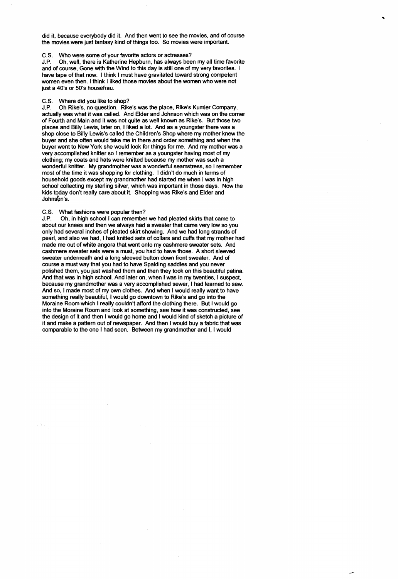did it, because everybody did it. And then went to see the movies, and of course the movies were just fantasy kind of things too. So movies were important.

## C.S. Who were some of your favorite actors or actresses?

and of course, Gone with the Wind to this day is still one of my very favorites. I J.P. Oh, well, there is Katherine Hepburn, has always been my all time favorite have tape of that now. I think I must have gravitated toward strong competent women even then. I think I liked those movies about the women who were not just a 40's or 50's housefrau.

## C.S. Where did you like to shop?

J.P. Oh Rike's, no question. Rike's was the place, Rike's Kumler Company, actually was what it was called. And Elder and Johnson which was on the corner of Fourth and Main and it was not quite as well known as Rike's. But those two places and Billy Lewis, later on, I liked a lot. And as a youngster there was a shop close to Billy Lewis's called the Children's Shop where my mother knew the buyer and she often would take me in there and order something and when the buyer went to New York she would look for things for me. And my mother was a very accomplished knitter so I remember as a youngster having most of my clothing; my coats and hats were knitted because my mother was such a wonderful knitter. My grandmother was a wonderful seamstress, so I remember most of the time it was shopping for clothing. I didn't do much in terms of household goods except my grandmother had started me when I was in high school collecting my sterling silver, which was important in those days. Now the kids today don't really care about it. Shopping was Rike's and Elder and Johnsbn's.

## C.S. What fashions were popular then?

J.P. Oh, in high school I can remember we had pleated skirts that came to about our knees and then we always had a sweater that came very low so you only had several inches of pleated skirt showing. And we had long strands of pearl, and also we had, I had knitted sets of collars and cuffs that my mother had made me out of white angora that went onto my cashmere sweater sets. And cashmere sweater sets were a must, you had to have those. A short sleeved sweater underneath and a long sleeved button down front sweater. And of course a must way that you had to have Spalding saddles and you never polished them, you just washed them and then they took on this beautiful patina. And that was in high school. And later on, when I was in my twenties, I suspect, because my grandmother was a very accomplished sewer, I had learned to sew. And so, I made most of my own clothes. And when I would really want to have something really beautiful, I would go downtown to Rike's and go into the Moraine Room which I really couldn't afford the clothing there. But I would go into the Moraine Room and look at something, see how it was constructed, see the design of it and then I would go horne and I would kind of sketch a picture of it and make a pattern out of newspaper. And then I would buy a fabric that was comparable to the one I had seen. Between my grandmother and I, I would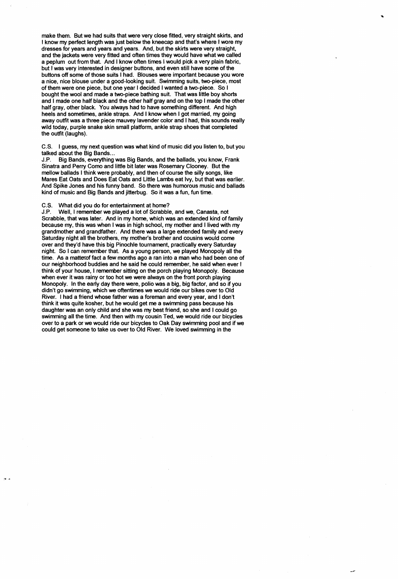make them. But we had suits that were very close fitted, very straight skirts, and I know my perfect length was just below the kneecap and that's where I wore my dresses for years and years and years. And, but the skirts were very straight, and the jackets were very fitted and often times they would have what we called a peplum out from that. And I know often times I would pick a very plain fabric, but I was very interested in designer buttons, and even still have some of the buttons off some of those suits I had. Blouses were important because you wore a nice, nice blouse under a good-looking suit. Swimming suits, two-piece, most of them were one piece, but one year I decided I wanted a two-piece. So I bought the wool and made a two-piece bathing suit. That was little boy shorts and I made one half black and the other half gray and on the top I made the other half gray, other black. You always had to have something different. And high heels and sometimes, ankle straps. And I know when I got married, my going away outfit was a three piece mauvey lavender color and I had, this sounds really wild today, purple snake skin small platform, ankle strap shoes that completed the outfit (laughs).

C.S. I guess, my next question was what kind of music did you listen to, but you talked about the Big Bands...

J.P. Big Bands, everything was Big Bands, and the ballads, you know, Frank Sinatra and Perry Como and little bit later was Rosemary Clooney. But the mellow ballads I think were probably, and then of course the silly songs, like Mares Eat Oats and Does Eat Oats and Little Lambs eat Ivy, but that was earlier. And Spike Jones and his funny band. So there was humorous music and ballads kind of music and Big Bands and jitterbug. So it was a fun, fun time.

### C.S. What did you do for entertainment at horne?

J.P. Well, I remember we played a lot of Scrabble, and we, Canasta, not Scrabble, that was later. And in my home, which was an extended kind of family because my, this was when I was in high school, my mother and I lived with my grandmother and grandfather. And there was a large extended family and every Saturday night all the brothers, my mother's brother and cousins would come over and they'd have this big Pinochle tournament, practically every Saturday night. So I can remember that. As a young person, we played Monopoly all the time. As a mattex of fact a few months ago a ran into a man who had been one of our neighborhood buddies and he said he could remember, he said when ever I think of your house, I remember sitting on the porch playing Monopoly. Because when ever it was rainy or too hot we were always on the front porch playing Monopoly. In the early day there were, polio was a big, big factor, and so if you didn't go swimming, which we oftentimes we would ride our bikes over to Old River. I had a friend whose father was a foreman and every year, and I don't think it was quite kosher, but he would get me a swimming pass because his daughter was an only child and she was my best friend, so she and I could go swimming all the time. And then with my cousin Ted, we would ride our bicycles over to a park or we would ride our bicycles to Oak Day swimming pool and if we could get someone to take us over to Old River. We loved swimming in the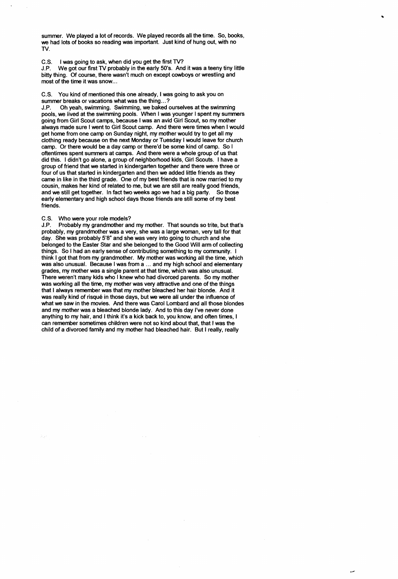summer. We played a lot of records. We played records all the time. So, books, we had lots of books so reading was important. Just kind of hung out, with no TV.

C.S. I was going to ask, when did you get the first TV?

J.P. We got our first TV probably in the early 50's. And it was a teeny tiny little bitty thing. Of course, there wasn't much on except cowboys or wrestling and most of the time it was snow...

C.S. You kind of mentioned this one already, I was going to ask you on summer breaks or vacations what was the thing...?

J.P. Oh yeah, swimming. Swimming, we baked ourselves at the swimming pools, we lived at the swimming pools. When I was younger I spent my summers going from Girl Scout camps, because I was an avid Girl Scout, so my mother always made sure I went to Girl Scout camp. And there were times when I would get home from one camp on Sunday night, my mother would try to get all my clothing ready because on the next Monday or Tuesday I would leave for church camp. Or there would be a day camp or there'd be some kind of camp. So I oftentimes spent summers at camps. And there were a whole group of us that did this. I didn't go alone, a group of neighborhood kids, Girl Scouts. I have a group of friend that we started in kindergarten together and there were three or four of us that started in kindergarten and then we added little friends as they came in like in the third grade. One of my best friends that is now married to my cousin, makes her kind of related to me, but we are still are really good friends, and we still get together. In fact two weeks ago we had a big party. So those early elementary and high school days those friends are still some of my best friends.

### C.S. Who were your role models?

J.P. Probably my grandmother and my mother. That sounds so trite, but that's probably, my grandmother was a very, she was a large woman, very tall for that day. She was probably 5'8" and she was very into going to church and she belonged to the Easter Star and she belonged to the Good Will arm of collecting things. So I had an early sense of contributing something to my community. I think I got that from my grandmother. My mother was working all the time, which was also unusual. Because I was from a ... and my high school and elementary grades, my mother was a single parent at that time, which was also unusual. There weren't many kids who I knew who had divorced parents. So my mother was working all the time, my mother was very attractive and one of the things that I always remember was that my mother bleached her hair blonde. And it was really kind of risqué in those days, but we were all under the influence of what we saw in the movies. And there was Carol Lombard and all those blondes and my mother was a bleached blonde lady. And to this day I've never done anything to my hair, and I think it's a kick back to, you know, and often times, I can remember sometimes children were not so kind about that, that I was the child of a divorced family and my mother had bleached hair. But I really, really